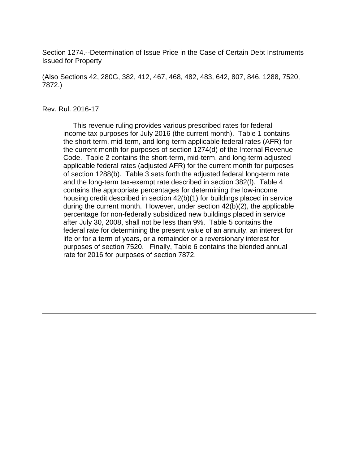Section 1274.--Determination of Issue Price in the Case of Certain Debt Instruments Issued for Property

(Also Sections 42, 280G, 382, 412, 467, 468, 482, 483, 642, 807, 846, 1288, 7520, 7872.)

#### Rev. Rul. 2016-17

 This revenue ruling provides various prescribed rates for federal income tax purposes for July 2016 (the current month). Table 1 contains the short-term, mid-term, and long-term applicable federal rates (AFR) for the current month for purposes of section 1274(d) of the Internal Revenue Code. Table 2 contains the short-term, mid-term, and long-term adjusted applicable federal rates (adjusted AFR) for the current month for purposes of section 1288(b). Table 3 sets forth the adjusted federal long-term rate and the long-term tax-exempt rate described in section 382(f). Table 4 contains the appropriate percentages for determining the low-income housing credit described in section 42(b)(1) for buildings placed in service during the current month. However, under section 42(b)(2), the applicable percentage for non-federally subsidized new buildings placed in service after July 30, 2008, shall not be less than 9%. Table 5 contains the federal rate for determining the present value of an annuity, an interest for life or for a term of years, or a remainder or a reversionary interest for purposes of section 7520. Finally, Table 6 contains the blended annual rate for 2016 for purposes of section 7872.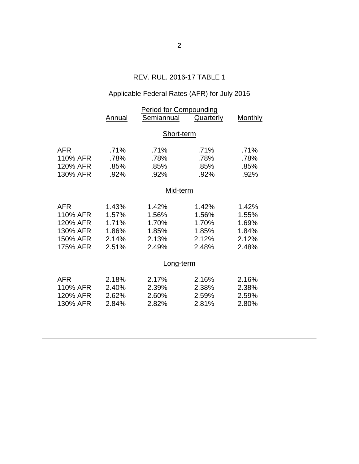# REV. RUL. 2016-17 TABLE 1

# Applicable Federal Rates (AFR) for July 2016

|            | <b>Period for Compounding</b> |            |           |         |  |
|------------|-------------------------------|------------|-----------|---------|--|
|            | <b>Annual</b>                 | Semiannual | Quarterly | Monthly |  |
|            |                               |            |           |         |  |
|            | Short-term                    |            |           |         |  |
| <b>AFR</b> | .71%                          | .71%       | .71%      | .71%    |  |
| 110% AFR   | .78%                          | .78%       | .78%      | .78%    |  |
| 120% AFR   | .85%                          | .85%       | .85%      | .85%    |  |
| 130% AFR   | .92%                          | .92%       | .92%      | .92%    |  |
|            |                               |            |           |         |  |
|            | Mid-term                      |            |           |         |  |
| <b>AFR</b> | 1.43%                         | 1.42%      | 1.42%     | 1.42%   |  |
| 110% AFR   | 1.57%                         | 1.56%      | 1.56%     | 1.55%   |  |
| 120% AFR   | 1.71%                         | 1.70%      | 1.70%     | 1.69%   |  |
| 130% AFR   | 1.86%                         | 1.85%      | 1.85%     | 1.84%   |  |
| 150% AFR   | 2.14%                         | 2.13%      | 2.12%     | 2.12%   |  |
| 175% AFR   | 2.51%                         | 2.49%      | 2.48%     | 2.48%   |  |
|            |                               |            |           |         |  |
|            | Long-term                     |            |           |         |  |
| <b>AFR</b> | 2.18%                         | 2.17%      | 2.16%     | 2.16%   |  |
| 110% AFR   | 2.40%                         | 2.39%      | 2.38%     | 2.38%   |  |
| 120% AFR   | 2.62%                         | 2.60%      | 2.59%     | 2.59%   |  |
| 130% AFR   | 2.84%                         | 2.82%      | 2.81%     | 2.80%   |  |
|            |                               |            |           |         |  |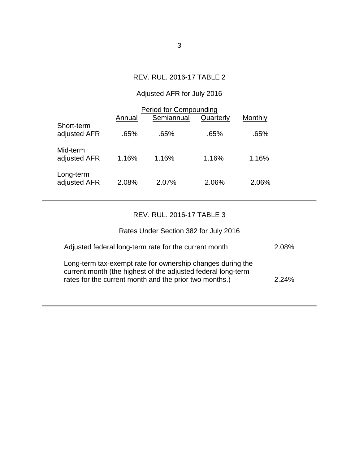### REV. RUL. 2016-17 TABLE 2

# Adjusted AFR for July 2016

|                            | Period for Compounding |            |           |         |  |
|----------------------------|------------------------|------------|-----------|---------|--|
|                            | Annual                 | Semiannual | Quarterly | Monthly |  |
| Short-term<br>adjusted AFR | .65%                   | .65%       | .65%      | .65%    |  |
| Mid-term<br>adjusted AFR   | 1.16%                  | 1.16%      | 1.16%     | 1.16%   |  |
| Long-term<br>adjusted AFR  | 2.08%                  | 2.07%      | 2.06%     | 2.06%   |  |

### REV. RUL. 2016-17 TABLE 3

# Rates Under Section 382 for July 2016

| Adjusted federal long-term rate for the current month                                                                                                                                | 2.08% |
|--------------------------------------------------------------------------------------------------------------------------------------------------------------------------------------|-------|
| Long-term tax-exempt rate for ownership changes during the<br>current month (the highest of the adjusted federal long-term<br>rates for the current month and the prior two months.) | 2.24% |